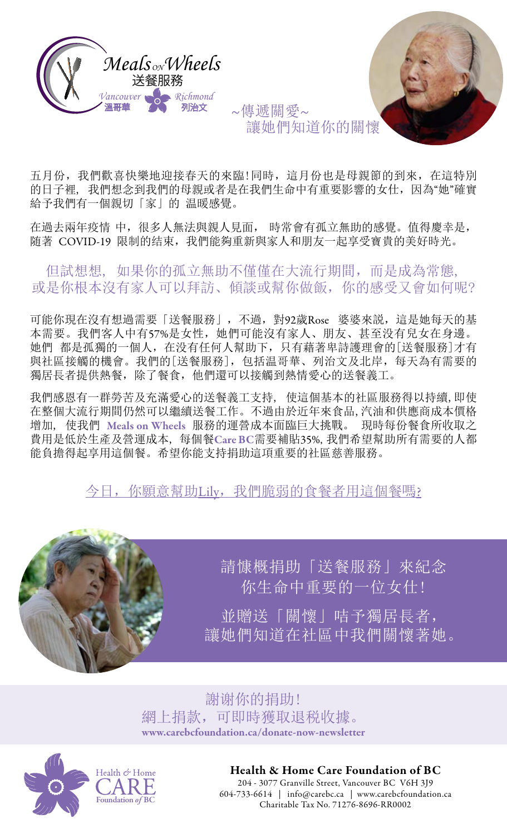



五月份,我們歡喜快樂地迎接春天的來臨!同時,這月份也是母親節的到來,在這特別 的日子裡, 我們想念到我們的母親或者是在我們生命中有重要影響的女仕,因為"她"確實 給予我們有一個親切「家」的 温暖感覺。

在過去兩年疫情 中,很多人無法與親人見面, 時常會有孤立無助的感覺。值得慶幸是, 随著 COVID-19 限制的结束,我們能夠重新與家人和朋友一起享受寶貴的美好時光。

但試想想, 如果你的孤立無助不僅僅在大流行期間,而是成為常態, 或是你根本沒有家人可以拜訪、傾談或幫你做飯,你的感受又會如何呢?

可能你現在沒有想過需要「送餐服務」,不過,對92歲Rose 婆婆來説,這是她每天的基 本需要。我們客人中有57%是女性,她們可能沒有家人、朋友、甚至没有兒女在身邊。 她們 都是孤獨的一個人,在没有任何人幫助下,只有藉著卑詩護理會的[送餐服務]才有 與社區接觸的機會。我們的[送餐服務],包括温哥華、列治文及北岸,每天為有需要的 獨居長者提供熱餐,除了餐食,他們還可以接觸到熱情愛心的送餐義工。

我們感恩有一群勞苦及充滿愛心的送餐義工支持, 使這個基本的社區服務得以持續,即使 在整個大流行期間仍然可以繼續送餐工作。不過由於近年來食品,汽油和供應商成本價格 增加, 使我們 Meals on Wheels 服務的運營成本面臨巨大挑戰。 現時每份餐食所收取之 費用是低於生產及營運成本, 每個餐Care BC需要補貼35%, 我們希望幫助所有需要的人都 能負擔得起享用這個餐。希望你能支持捐助這項重要的社區慈善服務。

今日,你願意幫助Lily[,我們脆弱的食餐者用這個餐嗎](https://www.carebcfoundation.ca/donate-now-newsletter.html)?



[請慷概捐助「送餐服務」來紀念](https://www.carebcfoundation.ca/donate-now-newsletter.html) [你生命中重要的一位女仕!](https://www.carebcfoundation.ca/donate-now-newsletter.html) [並贈送「關懷」咭予獨居長者,](https://www.carebcfoundation.ca/donate-now-newsletter.html) [讓她們知道在社區中我們關懷著她。](https://www.carebcfoundation.ca/donate-now-newsletter.html)

謝谢你的捐助! 網上捐款,可即時獲取退税收據。 [www.carebcfoundation.ca/donate-now-newsletter](https://www.carebcfoundation.ca/donate-now-newsletter.html)





## Health & Home Care Foundation of BC

204 - 3077 Granville Street, Vancouver BC V6H 3J9 604-733-6614 | info@carebc.ca | [www.carebcfoundation.ca](https://www.carebcfoundation.ca) Charitable Tax No. 71276-8696-RR0002